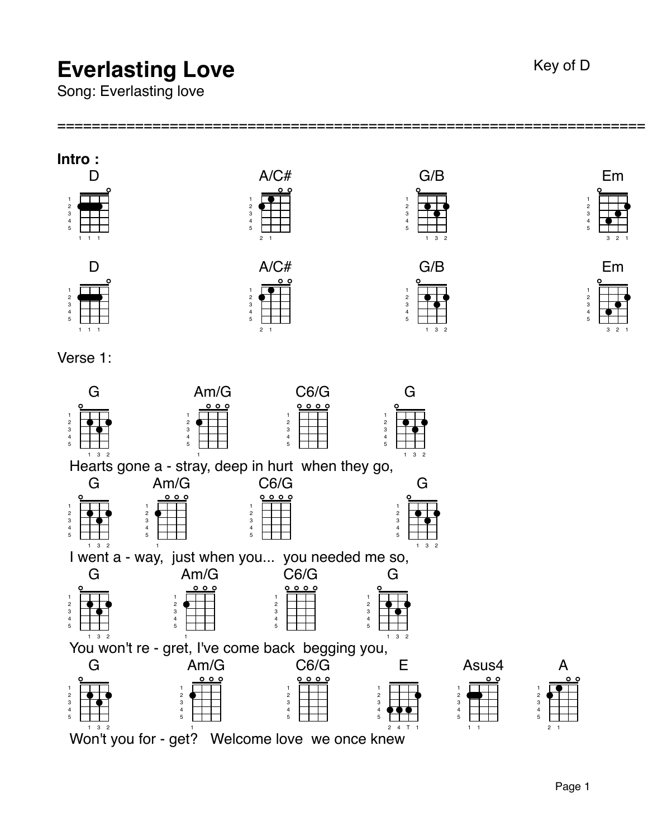## **Everlasting Love** Key of D

Song: Everlasting love

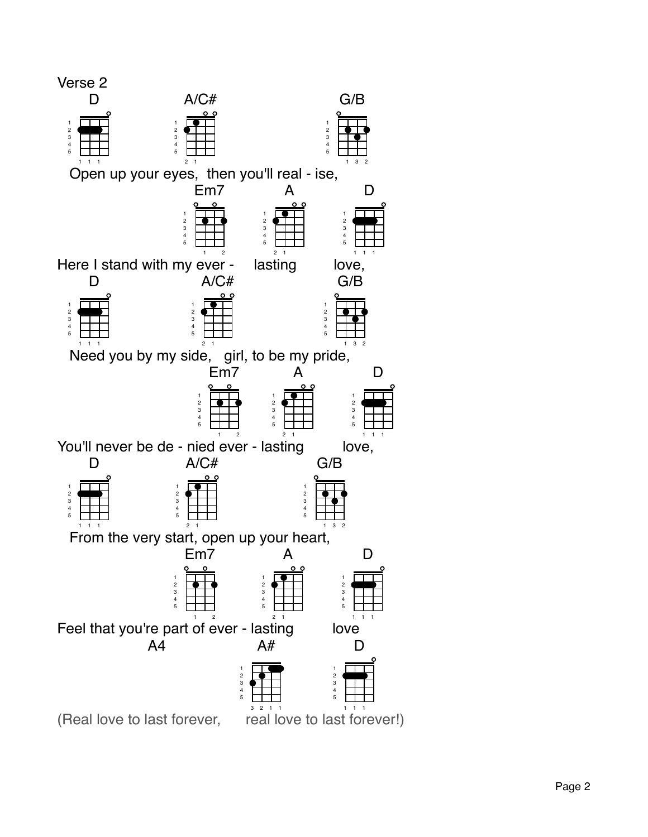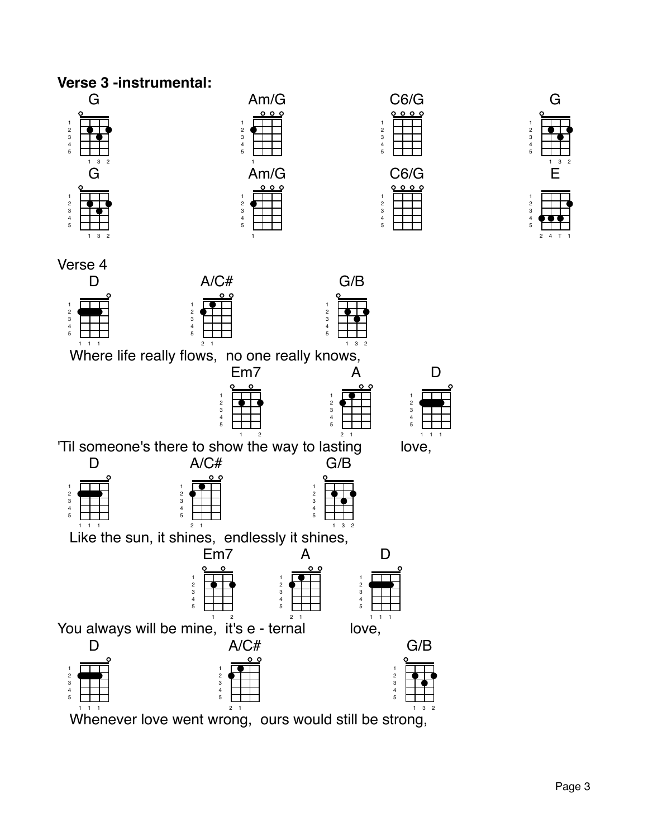

Whenever love went wrong, ours would still be strong,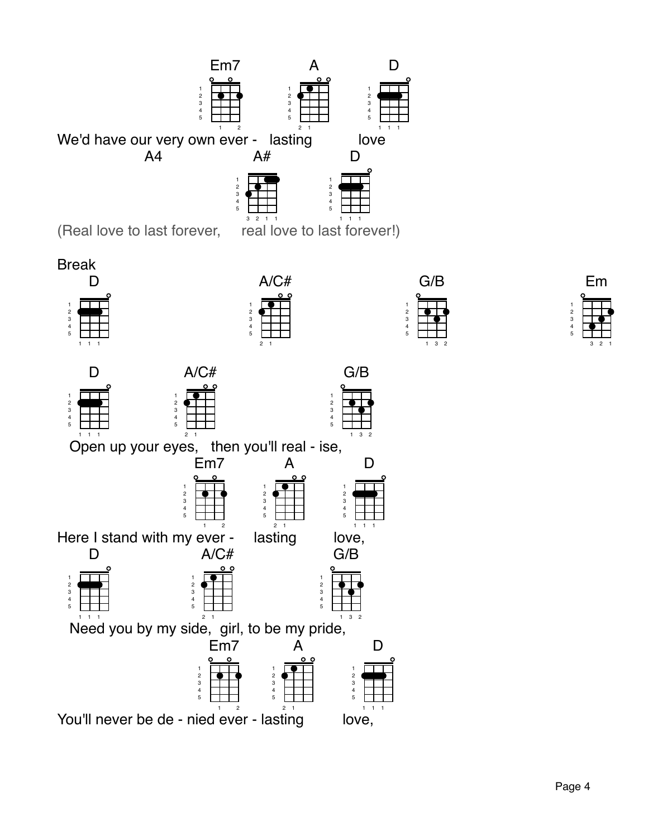